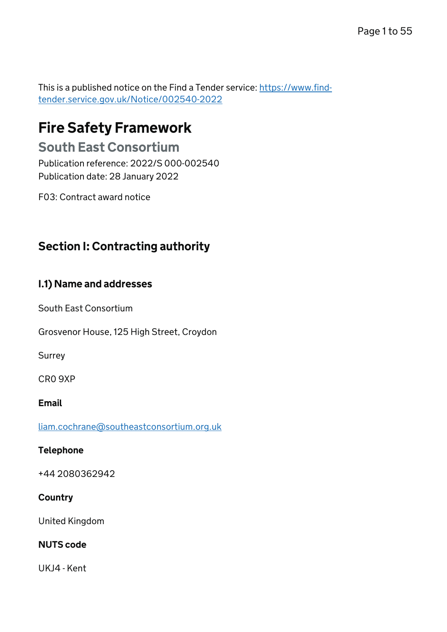This is a published notice on the Find a Tender service: [https://www.find](https://www.find-tender.service.gov.uk/Notice/002540-2022)[tender.service.gov.uk/Notice/002540-2022](https://www.find-tender.service.gov.uk/Notice/002540-2022)

# Fire Safety Framework

# South East Consortium

Publication reference: 2022/S 000-002540 Publication date: 28 January 2022

F03: Contract award notice

# Section I: Contracting authority

# I.1) Name and addresses

South East Consortium

Grosvenor House, 125 High Street, Croydon

Surrey

CR0 9XP

#### Email

[liam.cochrane@southeastconsortium.org.uk](mailto:liam.cochrane@southeastconsortium.org.uk)

# Telephone

+44 2080362942

# **Country**

United Kingdom

# NUTS code

UKJ4 - Kent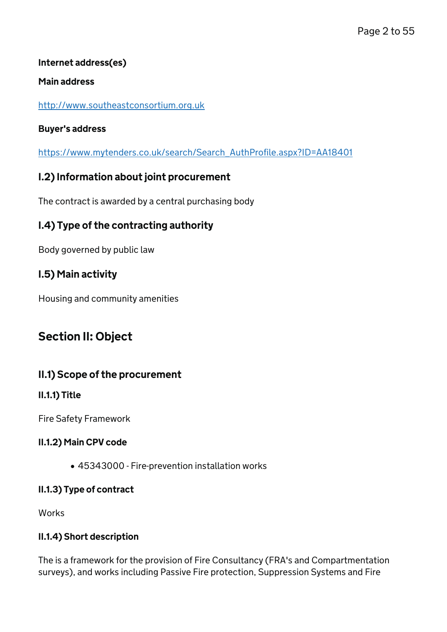# Internet address(es)

### Main address

### <http://www.southeastconsortium.org.uk>

### Buyer's address

[https://www.mytenders.co.uk/search/Search\\_AuthProfile.aspx?ID=AA18401](https://www.mytenders.co.uk/search/Search_AuthProfile.aspx?ID=AA18401)

# I.2) Information about joint procurement

The contract is awarded by a central purchasing body

# I.4) Type of the contracting authority

Body governed by public law

# I.5) Main activity

Housing and community amenities

# Section II: Object

# II.1) Scope of the procurement

# II.1.1) Title

Fire Safety Framework

# II.1.2) Main CPV code

45343000 - Fire-prevention installation works

# II.1.3) Type of contract

Works

# II.1.4) Short description

The is a framework for the provision of Fire Consultancy (FRA's and Compartmentation surveys), and works including Passive Fire protection, Suppression Systems and Fire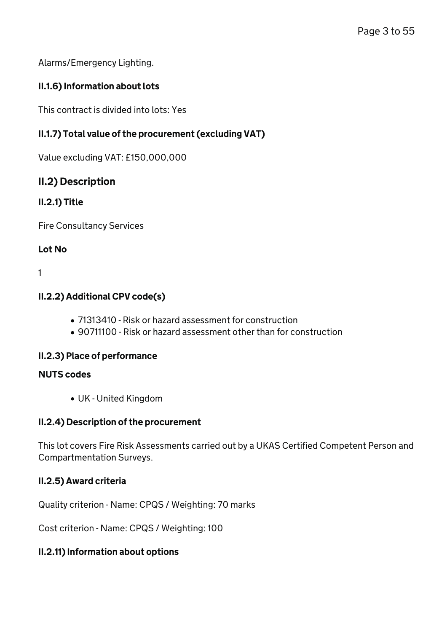Alarms/Emergency Lighting.

# II.1.6) Information about lots

This contract is divided into lots: Yes

# II.1.7) Total value of the procurement (excluding VAT)

Value excluding VAT: £150,000,000

# II.2) Description

# II.2.1) Title

Fire Consultancy Services

# Lot No

1

# II.2.2) Additional CPV code(s)

- 71313410 Risk or hazard assessment for construction
- 90711100 Risk or hazard assessment other than for construction

# II.2.3) Place of performance

# NUTS codes

UK - United Kingdom

# II.2.4) Description of the procurement

This lot covers Fire Risk Assessments carried out by a UKAS Certified Competent Person and Compartmentation Surveys.

# II.2.5) Award criteria

Quality criterion - Name: CPQS / Weighting: 70 marks

Cost criterion - Name: CPQS / Weighting: 100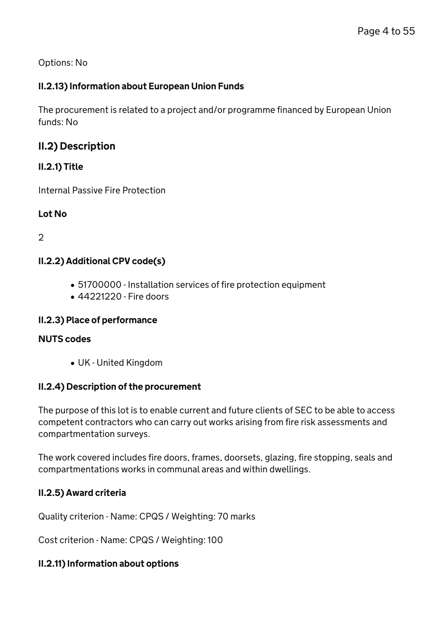# II.2.13) Information about European Union Funds

The procurement is related to a project and/or programme financed by European Union funds: No

# II.2) Description

# II.2.1) Title

Internal Passive Fire Protection

# Lot No

 $\mathcal{D}$ 

# II.2.2) Additional CPV code(s)

- 51700000 Installation services of fire protection equipment
- 44221220 Fire doors

# II.2.3) Place of performance

### NUTS codes

UK - United Kingdom

# II.2.4) Description of the procurement

The purpose of this lot is to enable current and future clients of SEC to be able to access competent contractors who can carry out works arising from fire risk assessments and compartmentation surveys.

The work covered includes fire doors, frames, doorsets, glazing, fire stopping, seals and compartmentations works in communal areas and within dwellings.

# II.2.5) Award criteria

Quality criterion - Name: CPQS / Weighting: 70 marks

Cost criterion - Name: CPQS / Weighting: 100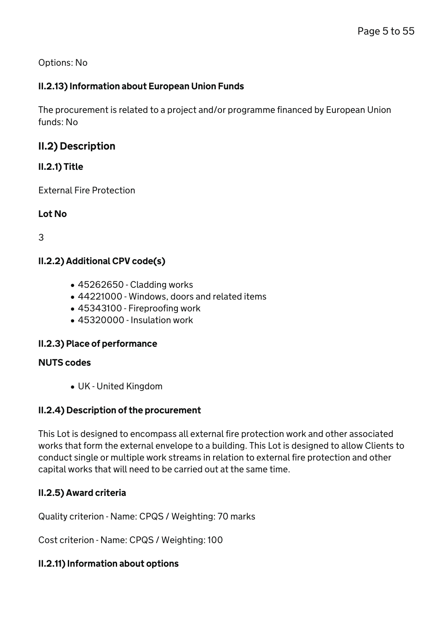# II.2.13) Information about European Union Funds

The procurement is related to a project and/or programme financed by European Union funds: No

# II.2) Description

# II.2.1) Title

External Fire Protection

# Lot No

3

# II.2.2) Additional CPV code(s)

- 45262650 Cladding works
- 44221000 Windows, doors and related items
- 45343100 Fireproofing work
- 45320000 Insulation work

# II.2.3) Place of performance

# NUTS codes

UK - United Kingdom

# II.2.4) Description of the procurement

This Lot is designed to encompass all external fire protection work and other associated works that form the external envelope to a building. This Lot is designed to allow Clients to conduct single or multiple work streams in relation to external fire protection and other capital works that will need to be carried out at the same time.

# II.2.5) Award criteria

Quality criterion - Name: CPQS / Weighting: 70 marks

Cost criterion - Name: CPQS / Weighting: 100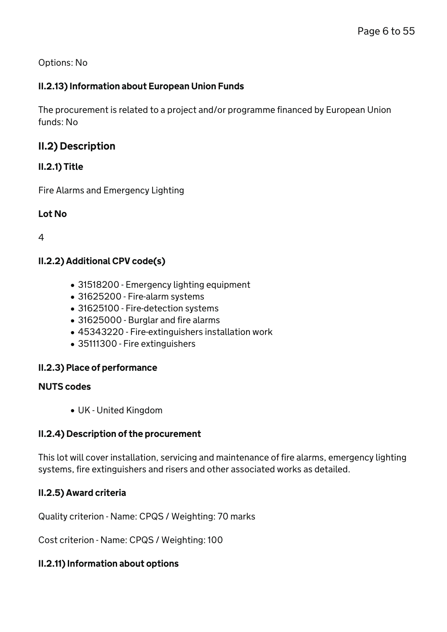# II.2.13) Information about European Union Funds

The procurement is related to a project and/or programme financed by European Union funds: No

# II.2) Description

# II.2.1) Title

Fire Alarms and Emergency Lighting

### Lot No

4

# II.2.2) Additional CPV code(s)

- 31518200 Emergency lighting equipment
- 31625200 Fire-alarm systems
- 31625100 Fire-detection systems
- 31625000 Burglar and fire alarms
- 45343220 Fire-extinguishers installation work
- 35111300 Fire extinguishers

# II.2.3) Place of performance

#### NUTS codes

UK - United Kingdom

# II.2.4) Description of the procurement

This lot will cover installation, servicing and maintenance of fire alarms, emergency lighting systems, fire extinguishers and risers and other associated works as detailed.

# II.2.5) Award criteria

Quality criterion - Name: CPQS / Weighting: 70 marks

Cost criterion - Name: CPQS / Weighting: 100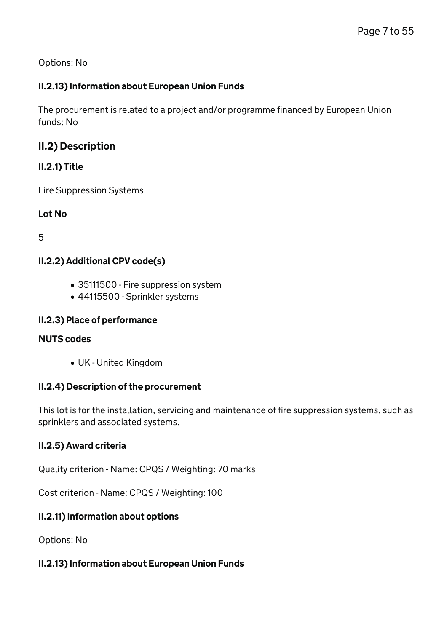# II.2.13) Information about European Union Funds

The procurement is related to a project and/or programme financed by European Union funds: No

# II.2) Description

# II.2.1) Title

Fire Suppression Systems

Lot No

5

# II.2.2) Additional CPV code(s)

- 35111500 Fire suppression system
- 44115500 Sprinkler systems

# II.2.3) Place of performance

# NUTS codes

UK - United Kingdom

# II.2.4) Description of the procurement

This lot is for the installation, servicing and maintenance of fire suppression systems, such as sprinklers and associated systems.

# II.2.5) Award criteria

Quality criterion - Name: CPQS / Weighting: 70 marks

Cost criterion - Name: CPQS / Weighting: 100

# II.2.11) Information about options

Options: No

# II.2.13) Information about European Union Funds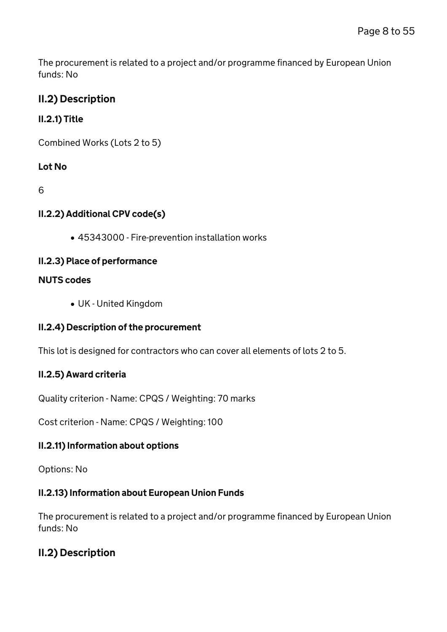The procurement is related to a project and/or programme financed by European Union funds: No

# II.2) Description

# II.2.1) Title

Combined Works (Lots 2 to 5)

# Lot No

6

# II.2.2) Additional CPV code(s)

45343000 - Fire-prevention installation works

# II.2.3) Place of performance

# NUTS codes

UK - United Kingdom

# II.2.4) Description of the procurement

This lot is designed for contractors who can cover all elements of lots 2 to 5.

# II.2.5) Award criteria

Quality criterion - Name: CPQS / Weighting: 70 marks

Cost criterion - Name: CPQS / Weighting: 100

# II.2.11) Information about options

Options: No

# II.2.13) Information about European Union Funds

The procurement is related to a project and/or programme financed by European Union funds: No

# II.2) Description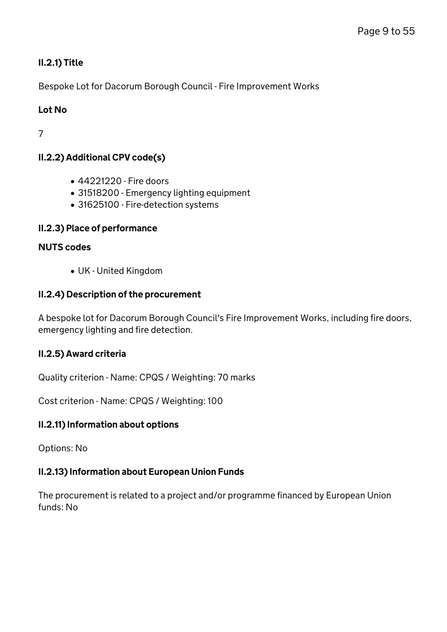# II.2.1) Title

Bespoke Lot for Dacorum Borough Council - Fire Improvement Works

# Lot No

7

# II.2.2) Additional CPV code(s)

- 44221220 Fire doors
- 31518200 Emergency lighting equipment
- 31625100 Fire-detection systems

### II.2.3) Place of performance

### NUTS codes

UK - United Kingdom

# II.2.4) Description of the procurement

A bespoke lot for Dacorum Borough Council's Fire Improvement Works, including fire doors, emergency lighting and fire detection.

# II.2.5) Award criteria

Quality criterion - Name: CPQS / Weighting: 70 marks

Cost criterion - Name: CPQS / Weighting: 100

# II.2.11) Information about options

Options: No

# II.2.13) Information about European Union Funds

The procurement is related to a project and/or programme financed by European Union funds: No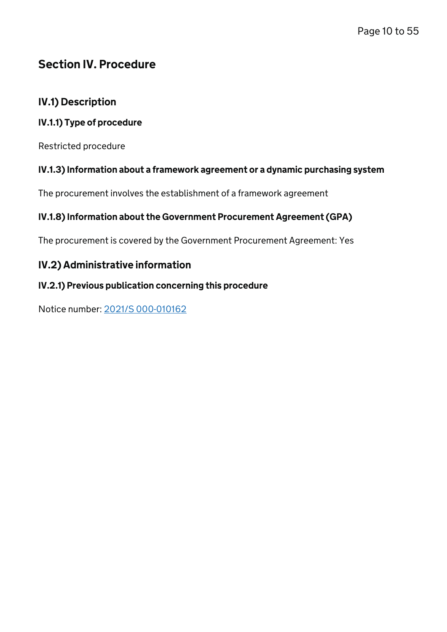# Section IV. Procedure

# IV.1) Description

# IV.1.1) Type of procedure

Restricted procedure

# IV.1.3) Information about a framework agreement or a dynamic purchasing system

The procurement involves the establishment of a framework agreement

# IV.1.8) Information about the Government Procurement Agreement (GPA)

The procurement is covered by the Government Procurement Agreement: Yes

# IV.2) Administrative information

# IV.2.1) Previous publication concerning this procedure

Notice number: [2021/S 000-010162](/Notice/010162-2021)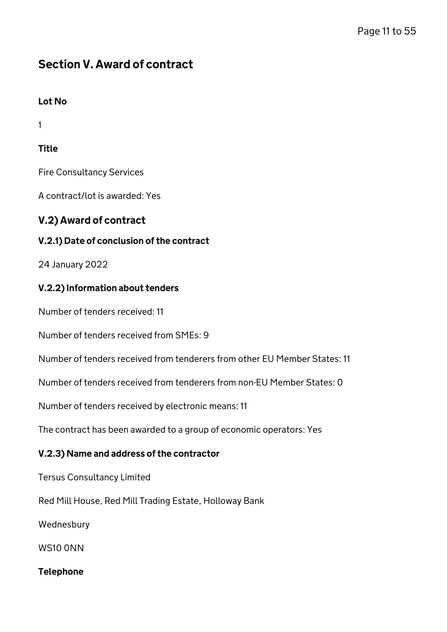# Section V. Award of contract

# Lot No

1

# **Title**

Fire Consultancy Services

A contract/lot is awarded: Yes

# V.2) Award of contract

# V.2.1) Date of conclusion of the contract

24 January 2022

# V.2.2) Information about tenders

Number of tenders received: 11

Number of tenders received from SMEs: 9

Number of tenders received from tenderers from other EU Member States: 11

Number of tenders received from tenderers from non-EU Member States: 0

Number of tenders received by electronic means: 11

The contract has been awarded to a group of economic operators: Yes

# V.2.3) Name and address of the contractor

Tersus Consultancy Limited

Red Mill House, Red Mill Trading Estate, Holloway Bank

Wednesbury

WS10 0NN

# Telephone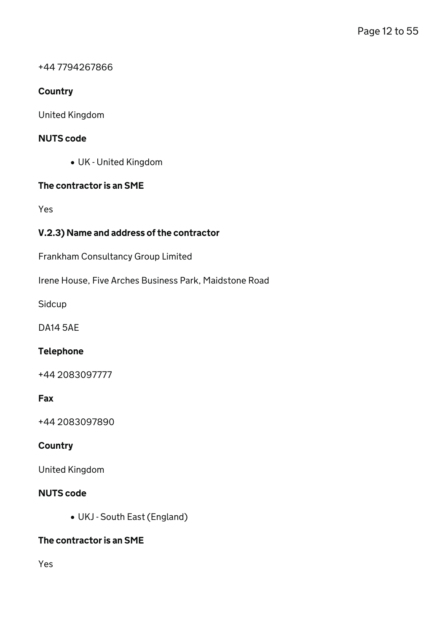### +44 7794267866

# **Country**

United Kingdom

### NUTS code

UK - United Kingdom

### The contractor is an SME

Yes

# V.2.3) Name and address of the contractor

Frankham Consultancy Group Limited

Irene House, Five Arches Business Park, Maidstone Road

Sidcup

DA14 5AE

# Telephone

+44 2083097777

#### Fax

+44 2083097890

### **Country**

United Kingdom

### NUTS code

UKJ - South East (England)

# The contractor is an SME

Yes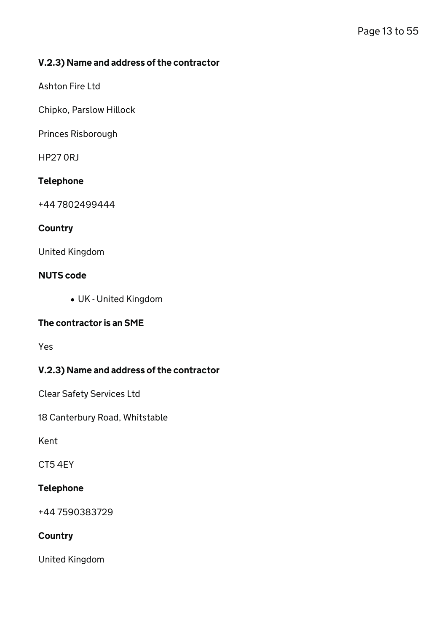### V.2.3) Name and address of the contractor

Ashton Fire Ltd

Chipko, Parslow Hillock

Princes Risborough

HP27 0RJ

#### Telephone

+44 7802499444

#### **Country**

United Kingdom

#### NUTS code

UK - United Kingdom

# The contractor is an SME

Yes

# V.2.3) Name and address of the contractor

Clear Safety Services Ltd

18 Canterbury Road, Whitstable

Kent

CT5 4EY

#### Telephone

+44 7590383729

#### **Country**

United Kingdom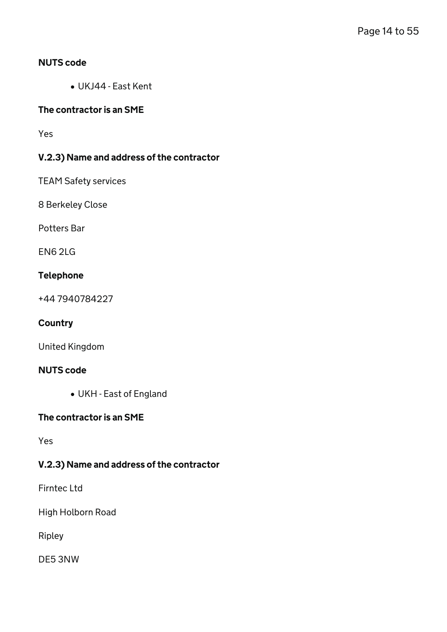### NUTS code

UKJ44 - East Kent

### The contractor is an SME

Yes

# V.2.3) Name and address of the contractor

TEAM Safety services

8 Berkeley Close

Potters Bar

EN6 2LG

#### Telephone

+44 7940784227

### **Country**

United Kingdom

### NUTS code

UKH - East of England

#### The contractor is an SME

Yes

# V.2.3) Name and address of the contractor

Firntec Ltd

High Holborn Road

Ripley

DE5 3NW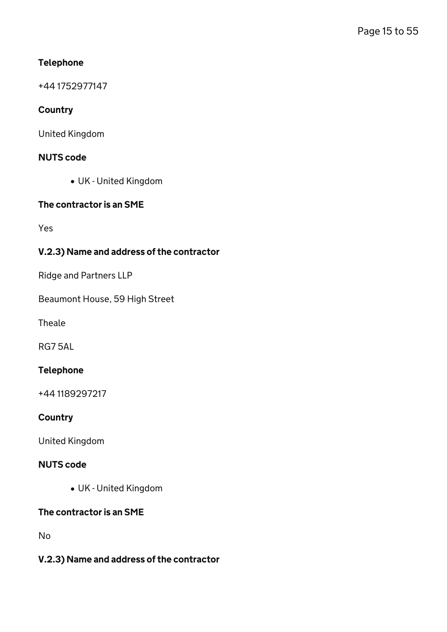# Telephone

+44 1752977147

# **Country**

United Kingdom

# NUTS code

UK - United Kingdom

#### The contractor is an SME

Yes

# V.2.3) Name and address of the contractor

Ridge and Partners LLP

Beaumont House, 59 High Street

Theale

RG7 5AL

### Telephone

+44 1189297217

# **Country**

United Kingdom

### NUTS code

UK - United Kingdom

# The contractor is an SME

No

# V.2.3) Name and address of the contractor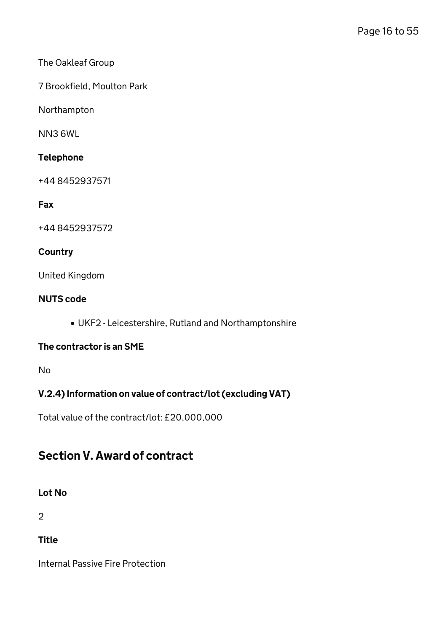# The Oakleaf Group

7 Brookfield, Moulton Park

Northampton

NN3 6WL

### Telephone

+44 8452937571

### Fax

+44 8452937572

### **Country**

United Kingdom

### NUTS code

UKF2 - Leicestershire, Rutland and Northamptonshire

#### The contractor is an SME

No

# V.2.4) Information on value of contract/lot (excluding VAT)

Total value of the contract/lot: £20,000,000

# Section V. Award of contract

#### Lot No

2

**Title** 

Internal Passive Fire Protection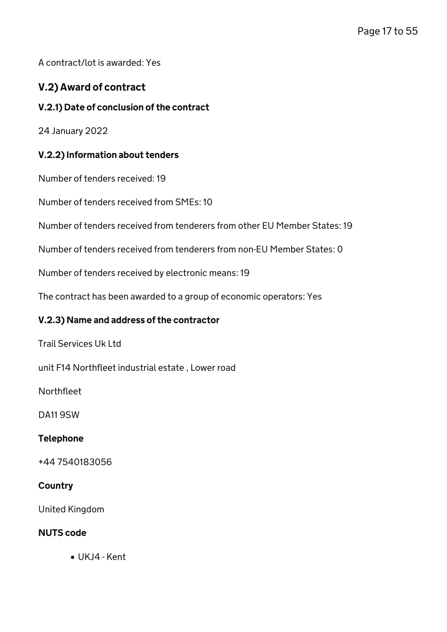A contract/lot is awarded: Yes

# V.2) Award of contract

### V.2.1) Date of conclusion of the contract

24 January 2022

### V.2.2) Information about tenders

Number of tenders received: 19

Number of tenders received from SMEs: 10

Number of tenders received from tenderers from other EU Member States: 19

Number of tenders received from tenderers from non-EU Member States: 0

Number of tenders received by electronic means: 19

The contract has been awarded to a group of economic operators: Yes

#### V.2.3) Name and address of the contractor

Trail Services Uk Ltd

unit F14 Northfleet industrial estate , Lower road

Northfleet

DA11 9SW

#### Telephone

+44 7540183056

#### **Country**

United Kingdom

#### NUTS code

UKJ4 - Kent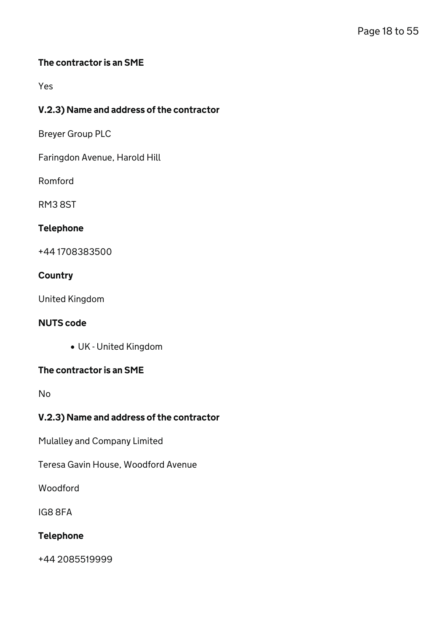# The contractor is an SME

Yes

# V.2.3) Name and address of the contractor

Breyer Group PLC

Faringdon Avenue, Harold Hill

Romford

RM3 8ST

#### Telephone

+44 1708383500

### **Country**

United Kingdom

#### NUTS code

UK - United Kingdom

#### The contractor is an SME

No

# V.2.3) Name and address of the contractor

Mulalley and Company Limited

Teresa Gavin House, Woodford Avenue

Woodford

IG8 8FA

#### Telephone

+44 2085519999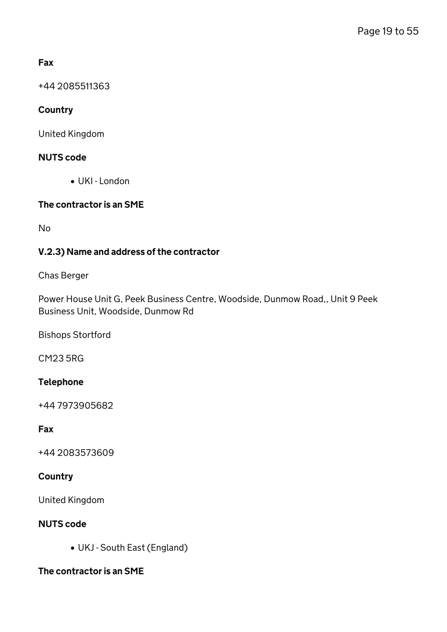# Fax

+44 2085511363

# **Country**

United Kingdom

# NUTS code

UKI - London

# The contractor is an SME

No

# V.2.3) Name and address of the contractor

### Chas Berger

Power House Unit G, Peek Business Centre, Woodside, Dunmow Road,, Unit 9 Peek Business Unit, Woodside, Dunmow Rd

Bishops Stortford

CM23 5RG

# Telephone

+44 7973905682

# Fax

+44 2083573609

# **Country**

United Kingdom

# NUTS code

UKJ - South East (England)

# The contractor is an SME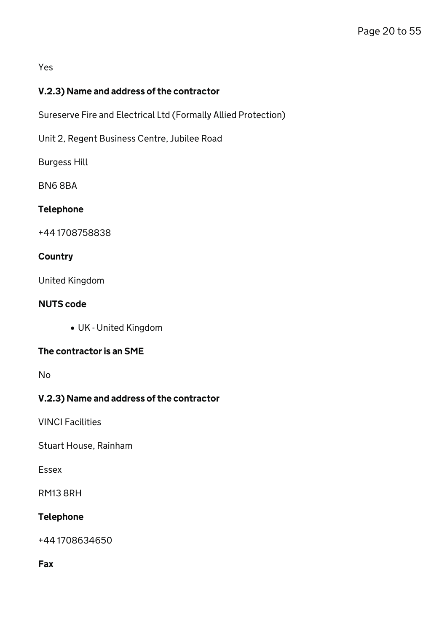### Yes

# V.2.3) Name and address of the contractor

Sureserve Fire and Electrical Ltd (Formally Allied Protection)

Unit 2, Regent Business Centre, Jubilee Road

Burgess Hill

BN6 8BA

### Telephone

+44 1708758838

# **Country**

United Kingdom

### NUTS code

UK - United Kingdom

# The contractor is an SME

No

# V.2.3) Name and address of the contractor

VINCI Facilities

Stuart House, Rainham

Essex

RM13 8RH

# Telephone

+44 1708634650

### Fax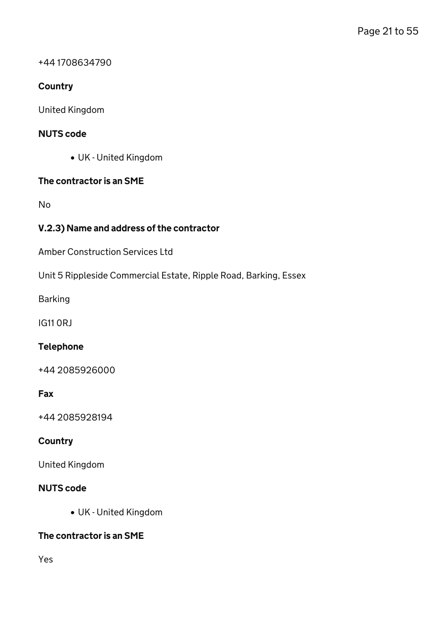+44 1708634790

# **Country**

United Kingdom

### NUTS code

UK - United Kingdom

#### The contractor is an SME

No

# V.2.3) Name and address of the contractor

Amber Construction Services Ltd

Unit 5 Rippleside Commercial Estate, Ripple Road, Barking, Essex

Barking

IG11 0RJ

#### Telephone

+44 2085926000

## Fax

+44 2085928194

#### **Country**

United Kingdom

#### NUTS code

UK - United Kingdom

#### The contractor is an SME

Yes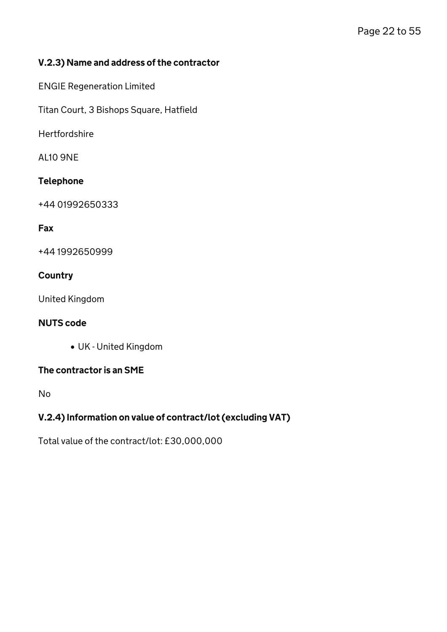# V.2.3) Name and address of the contractor

ENGIE Regeneration Limited

Titan Court, 3 Bishops Square, Hatfield

Hertfordshire

AL10 9NE

### Telephone

+44 01992650333

### Fax

+44 1992650999

### **Country**

United Kingdom

#### NUTS code

UK - United Kingdom

#### The contractor is an SME

No

# V.2.4) Information on value of contract/lot (excluding VAT)

Total value of the contract/lot: £30,000,000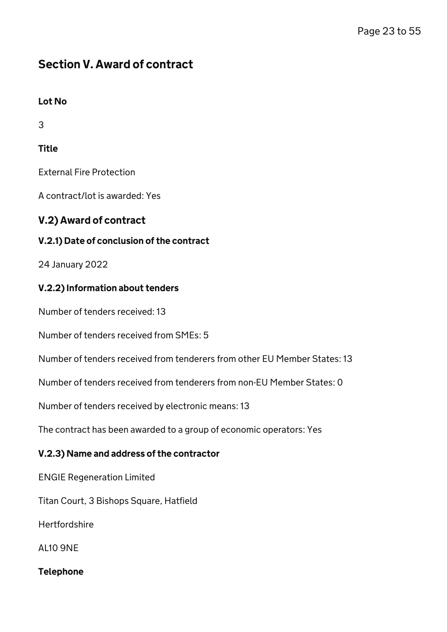# Section V. Award of contract

# Lot No

3

# Title

External Fire Protection

A contract/lot is awarded: Yes

# V.2) Award of contract

# V.2.1) Date of conclusion of the contract

24 January 2022

# V.2.2) Information about tenders

Number of tenders received: 13

Number of tenders received from SMEs: 5

Number of tenders received from tenderers from other EU Member States: 13

Number of tenders received from tenderers from non-EU Member States: 0

Number of tenders received by electronic means: 13

The contract has been awarded to a group of economic operators: Yes

# V.2.3) Name and address of the contractor

ENGIE Regeneration Limited

Titan Court, 3 Bishops Square, Hatfield

**Hertfordshire** 

AL10 9NE

# Telephone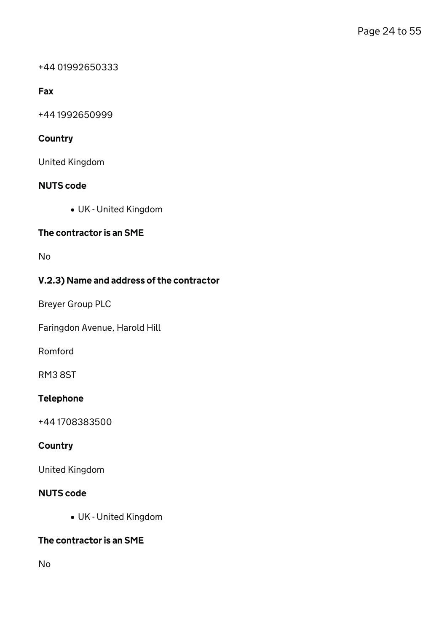#### +44 01992650333

# Fax

+44 1992650999

# **Country**

United Kingdom

# NUTS code

UK - United Kingdom

### The contractor is an SME

No

# V.2.3) Name and address of the contractor

Breyer Group PLC

Faringdon Avenue, Harold Hill

Romford

RM3 8ST

# Telephone

+44 1708383500

# **Country**

United Kingdom

# NUTS code

UK - United Kingdom

# The contractor is an SME

No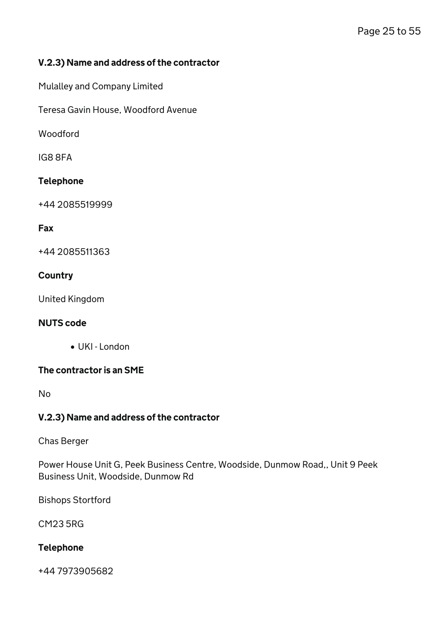### V.2.3) Name and address of the contractor

Mulalley and Company Limited

Teresa Gavin House, Woodford Avenue

Woodford

IG8 8FA

### Telephone

+44 2085519999

#### Fax

+44 2085511363

### **Country**

United Kingdom

#### NUTS code

UKI - London

### The contractor is an SME

No

#### V.2.3) Name and address of the contractor

Chas Berger

Power House Unit G, Peek Business Centre, Woodside, Dunmow Road,, Unit 9 Peek Business Unit, Woodside, Dunmow Rd

Bishops Stortford

CM23 5RG

# Telephone

+44 7973905682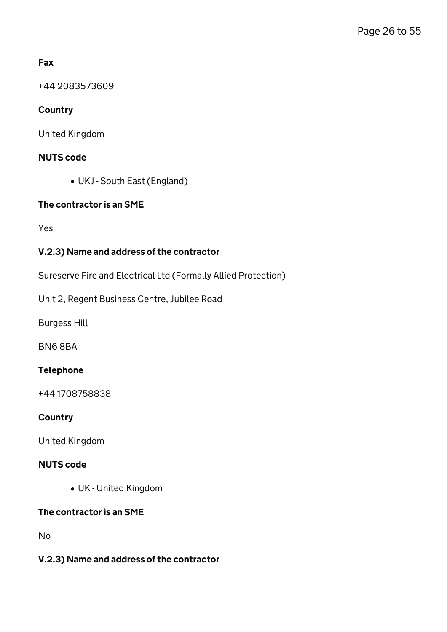# Fax

+44 2083573609

# **Country**

United Kingdom

# NUTS code

UKJ - South East (England)

### The contractor is an SME

Yes

# V.2.3) Name and address of the contractor

Sureserve Fire and Electrical Ltd (Formally Allied Protection)

Unit 2, Regent Business Centre, Jubilee Road

Burgess Hill

BN6 8BA

#### Telephone

+44 1708758838

#### **Country**

United Kingdom

### NUTS code

UK - United Kingdom

# The contractor is an SME

No

### V.2.3) Name and address of the contractor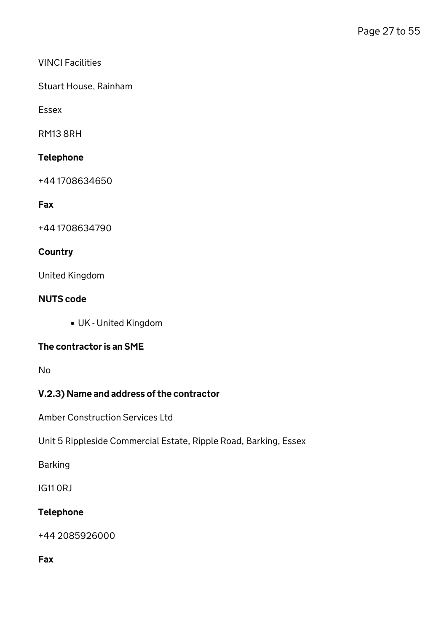### VINCI Facilities

Stuart House, Rainham

Essex

RM13 8RH

# Telephone

+44 1708634650

Fax

+44 1708634790

### **Country**

United Kingdom

### NUTS code

UK - United Kingdom

# The contractor is an SME

No

# V.2.3) Name and address of the contractor

Amber Construction Services Ltd

Unit 5 Rippleside Commercial Estate, Ripple Road, Barking, Essex

Barking

IG11 0RJ

# Telephone

+44 2085926000

Fax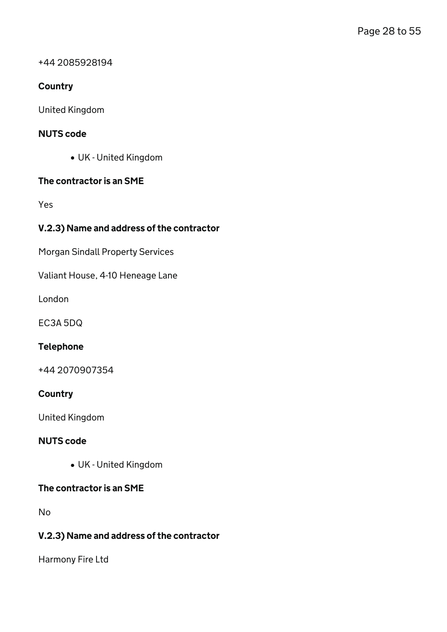+44 2085928194

# **Country**

United Kingdom

### NUTS code

UK - United Kingdom

#### The contractor is an SME

Yes

# V.2.3) Name and address of the contractor

Morgan Sindall Property Services

Valiant House, 4-10 Heneage Lane

London

EC3A 5DQ

#### Telephone

+44 2070907354

#### **Country**

United Kingdom

### NUTS code

UK - United Kingdom

#### The contractor is an SME

No

### V.2.3) Name and address of the contractor

Harmony Fire Ltd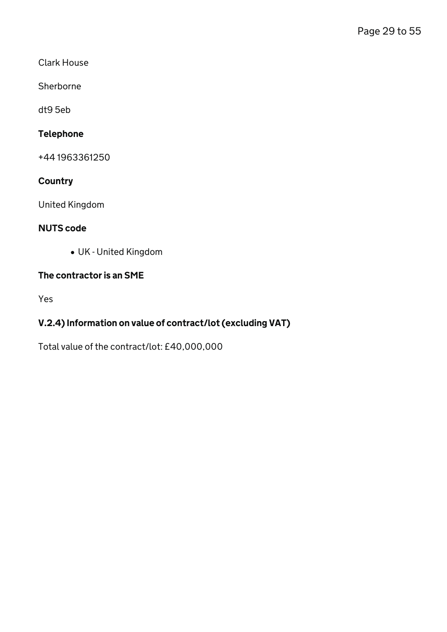Clark House

Sherborne

dt9 5eb

# Telephone

+44 1963361250

# **Country**

United Kingdom

# NUTS code

UK - United Kingdom

### The contractor is an SME

Yes

# V.2.4) Information on value of contract/lot (excluding VAT)

Total value of the contract/lot: £40,000,000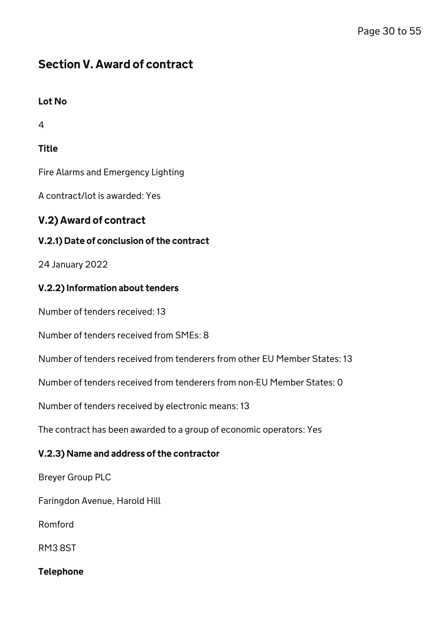# Section V. Award of contract

# Lot No

4

# **Title**

Fire Alarms and Emergency Lighting

A contract/lot is awarded: Yes

# V.2) Award of contract

# V.2.1) Date of conclusion of the contract

24 January 2022

# V.2.2) Information about tenders

Number of tenders received: 13

Number of tenders received from SMEs: 8

Number of tenders received from tenderers from other EU Member States: 13

Number of tenders received from tenderers from non-EU Member States: 0

Number of tenders received by electronic means: 13

The contract has been awarded to a group of economic operators: Yes

# V.2.3) Name and address of the contractor

Breyer Group PLC

Faringdon Avenue, Harold Hill

Romford

RM3 8ST

Telephone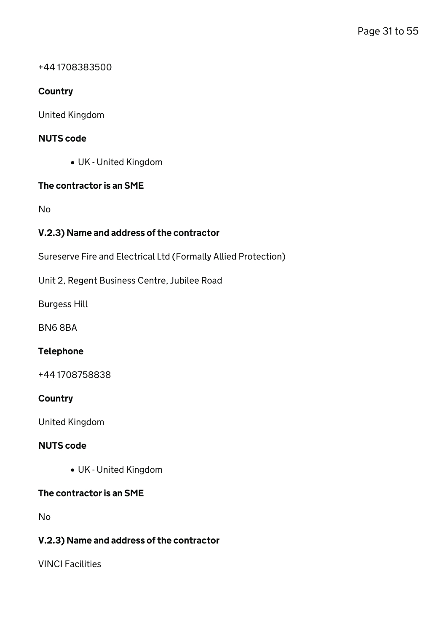#### +44 1708383500

### **Country**

United Kingdom

### NUTS code

UK - United Kingdom

#### The contractor is an SME

No

# V.2.3) Name and address of the contractor

Sureserve Fire and Electrical Ltd (Formally Allied Protection)

Unit 2, Regent Business Centre, Jubilee Road

Burgess Hill

BN6 8BA

#### Telephone

+44 1708758838

#### **Country**

United Kingdom

#### NUTS code

UK - United Kingdom

### The contractor is an SME

No

# V.2.3) Name and address of the contractor

VINCI Facilities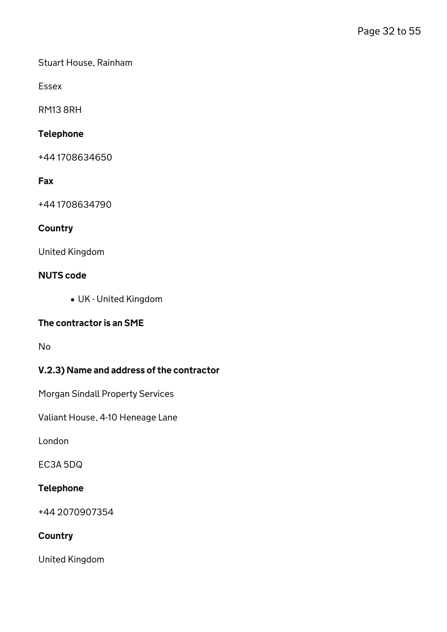Stuart House, Rainham

Essex

RM13 8RH

# Telephone

+44 1708634650

### Fax

+44 1708634790

# **Country**

United Kingdom

#### NUTS code

UK - United Kingdom

#### The contractor is an SME

No

# V.2.3) Name and address of the contractor

Morgan Sindall Property Services

Valiant House, 4-10 Heneage Lane

London

EC3A 5DQ

### Telephone

+44 2070907354

### **Country**

United Kingdom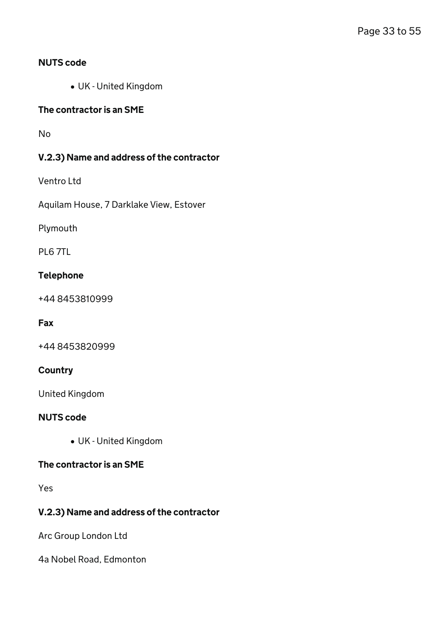### NUTS code

UK - United Kingdom

#### The contractor is an SME

No

### V.2.3) Name and address of the contractor

Ventro Ltd

Aquilam House, 7 Darklake View, Estover

Plymouth

PL6 7TL

#### Telephone

+44 8453810999

#### Fax

+44 8453820999

### **Country**

United Kingdom

#### NUTS code

UK - United Kingdom

#### The contractor is an SME

Yes

# V.2.3) Name and address of the contractor

Arc Group London Ltd

4a Nobel Road, Edmonton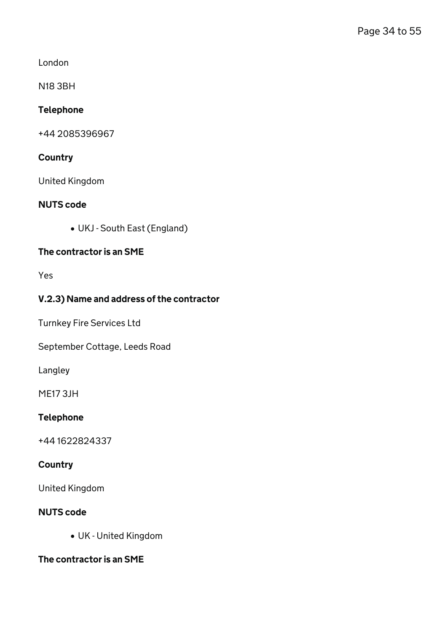London

N18 3BH

# Telephone

+44 2085396967

# **Country**

United Kingdom

### NUTS code

UKJ - South East (England)

# The contractor is an SME

Yes

# V.2.3) Name and address of the contractor

Turnkey Fire Services Ltd

September Cottage, Leeds Road

Langley

ME17 3JH

# Telephone

+44 1622824337

# **Country**

United Kingdom

# NUTS code

UK - United Kingdom

# The contractor is an SME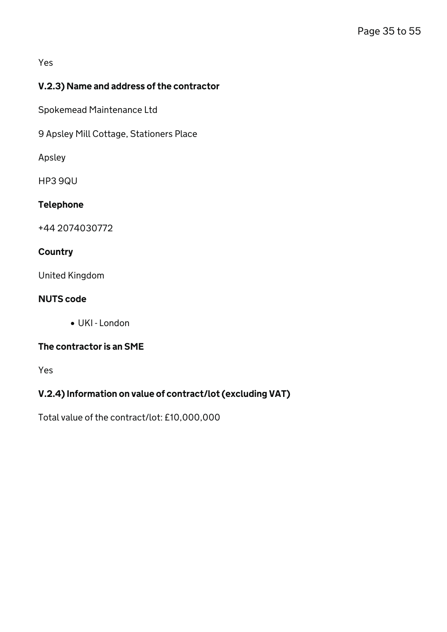Yes

# V.2.3) Name and address of the contractor

Spokemead Maintenance Ltd

9 Apsley Mill Cottage, Stationers Place

Apsley

HP3 9QU

### Telephone

+44 2074030772

### **Country**

United Kingdom

### NUTS code

UKI - London

# The contractor is an SME

Yes

# V.2.4) Information on value of contract/lot (excluding VAT)

Total value of the contract/lot: £10,000,000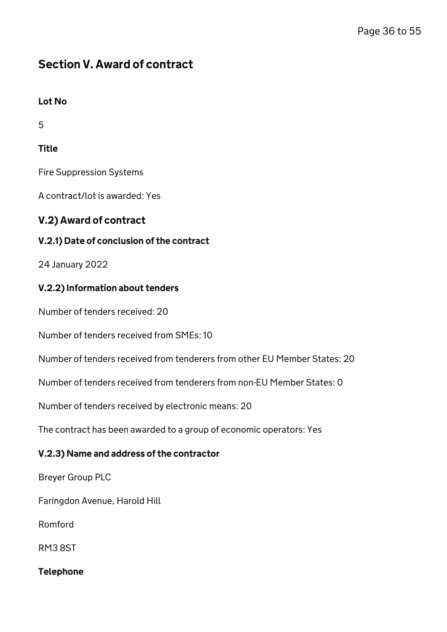# Section V. Award of contract

# Lot No

5

# **Title**

Fire Suppression Systems

A contract/lot is awarded: Yes

# V.2) Award of contract

# V.2.1) Date of conclusion of the contract

24 January 2022

# V.2.2) Information about tenders

Number of tenders received: 20

Number of tenders received from SMEs: 10

Number of tenders received from tenderers from other EU Member States: 20

Number of tenders received from tenderers from non-EU Member States: 0

Number of tenders received by electronic means: 20

The contract has been awarded to a group of economic operators: Yes

# V.2.3) Name and address of the contractor

Breyer Group PLC

Faringdon Avenue, Harold Hill

Romford

RM3 8ST

Telephone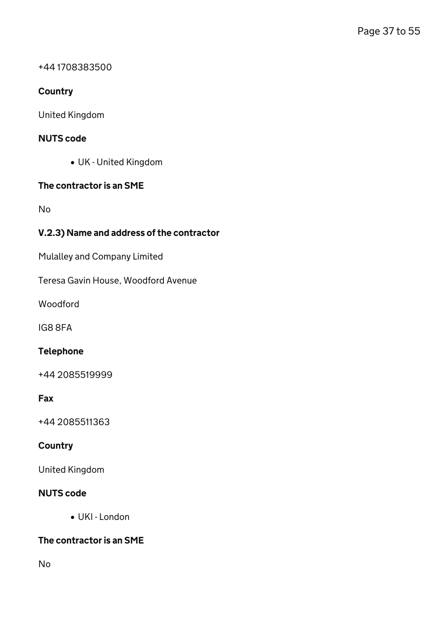#### +44 1708383500

# **Country**

United Kingdom

### NUTS code

UK - United Kingdom

### The contractor is an SME

No

# V.2.3) Name and address of the contractor

Mulalley and Company Limited

Teresa Gavin House, Woodford Avenue

Woodford

IG8 8FA

#### Telephone

+44 2085519999

#### Fax

+44 2085511363

### **Country**

United Kingdom

### NUTS code

UKI - London

# The contractor is an SME

No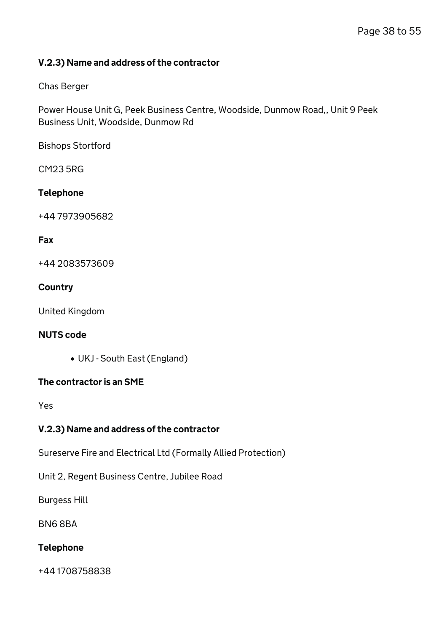### V.2.3) Name and address of the contractor

### Chas Berger

Power House Unit G, Peek Business Centre, Woodside, Dunmow Road,, Unit 9 Peek Business Unit, Woodside, Dunmow Rd

Bishops Stortford

CM23 5RG

### Telephone

+44 7973905682

### Fax

+44 2083573609

### **Country**

United Kingdom

### NUTS code

UKJ - South East (England)

#### The contractor is an SME

Yes

# V.2.3) Name and address of the contractor

Sureserve Fire and Electrical Ltd (Formally Allied Protection)

Unit 2, Regent Business Centre, Jubilee Road

Burgess Hill

BN6 8BA

# Telephone

+44 1708758838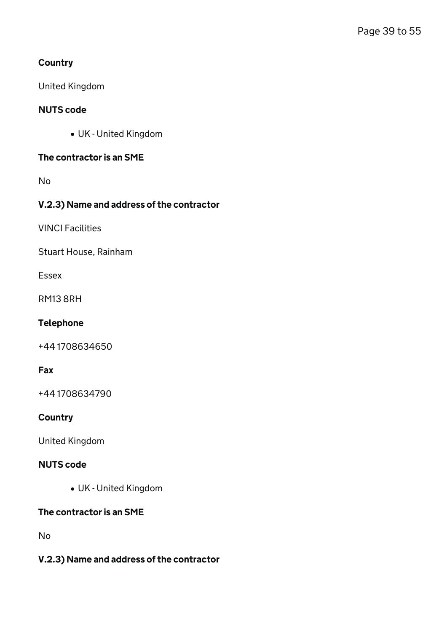# **Country**

United Kingdom

# NUTS code

UK - United Kingdom

# The contractor is an SME

No

# V.2.3) Name and address of the contractor

VINCI Facilities

Stuart House, Rainham

Essex

RM13 8RH

# Telephone

+44 1708634650

# Fax

+44 1708634790

### **Country**

United Kingdom

### NUTS code

UK - United Kingdom

# The contractor is an SME

No

# V.2.3) Name and address of the contractor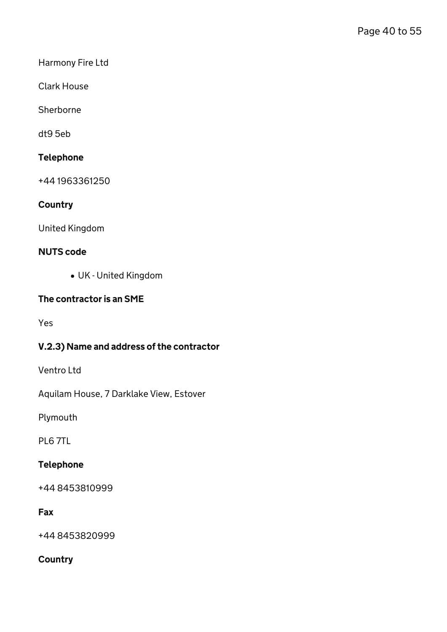Harmony Fire Ltd

Clark House

Sherborne

dt9 5eb

# Telephone

+44 1963361250

# **Country**

United Kingdom

### NUTS code

UK - United Kingdom

# The contractor is an SME

Yes

# V.2.3) Name and address of the contractor

Ventro Ltd

Aquilam House, 7 Darklake View, Estover

Plymouth

PL6 7TL

# Telephone

+44 8453810999

# Fax

+44 8453820999

# **Country**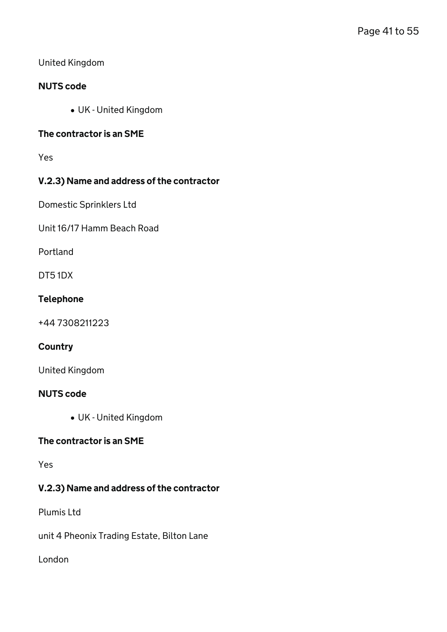### United Kingdom

### NUTS code

UK - United Kingdom

### The contractor is an SME

Yes

# V.2.3) Name and address of the contractor

Domestic Sprinklers Ltd

Unit 16/17 Hamm Beach Road

Portland

DT5 1DX

#### Telephone

+44 7308211223

#### **Country**

United Kingdom

#### NUTS code

UK - United Kingdom

# The contractor is an SME

Yes

# V.2.3) Name and address of the contractor

Plumis Ltd

unit 4 Pheonix Trading Estate, Bilton Lane

London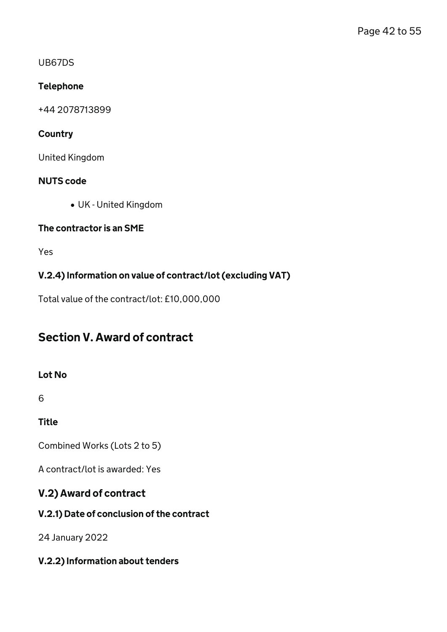### UB67DS

# Telephone

+44 2078713899

# **Country**

United Kingdom

# NUTS code

UK - United Kingdom

# The contractor is an SME

Yes

# V.2.4) Information on value of contract/lot (excluding VAT)

Total value of the contract/lot: £10,000,000

# Section V. Award of contract

# Lot No

6

**Title** 

Combined Works (Lots 2 to 5)

A contract/lot is awarded: Yes

# V.2) Award of contract

# V.2.1) Date of conclusion of the contract

24 January 2022

# V.2.2) Information about tenders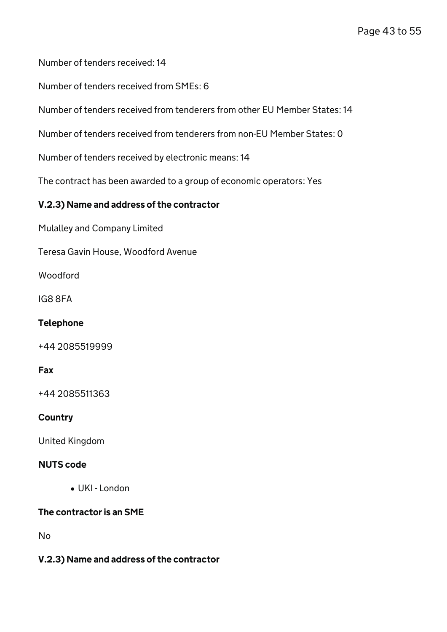Number of tenders received: 14

Number of tenders received from SMEs: 6

Number of tenders received from tenderers from other EU Member States: 14

Number of tenders received from tenderers from non-EU Member States: 0

Number of tenders received by electronic means: 14

The contract has been awarded to a group of economic operators: Yes

### V.2.3) Name and address of the contractor

Mulalley and Company Limited

Teresa Gavin House, Woodford Avenue

Woodford

IG8 8FA

#### Telephone

+44 2085519999

#### Fax

+44 2085511363

#### **Country**

United Kingdom

#### NUTS code

UKI - London

# The contractor is an SME

No

#### V.2.3) Name and address of the contractor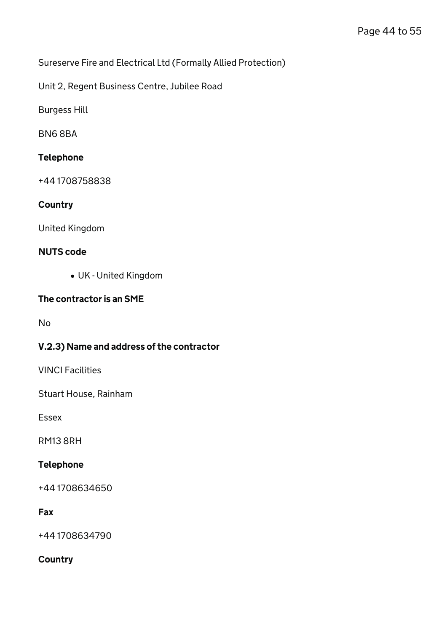Sureserve Fire and Electrical Ltd (Formally Allied Protection)

Unit 2, Regent Business Centre, Jubilee Road

Burgess Hill

BN6 8BA

### Telephone

+44 1708758838

### **Country**

United Kingdom

### NUTS code

UK - United Kingdom

### The contractor is an SME

No

# V.2.3) Name and address of the contractor

VINCI Facilities

Stuart House, Rainham

Essex

RM13 8RH

#### Telephone

+44 1708634650

# Fax

+44 1708634790

### **Country**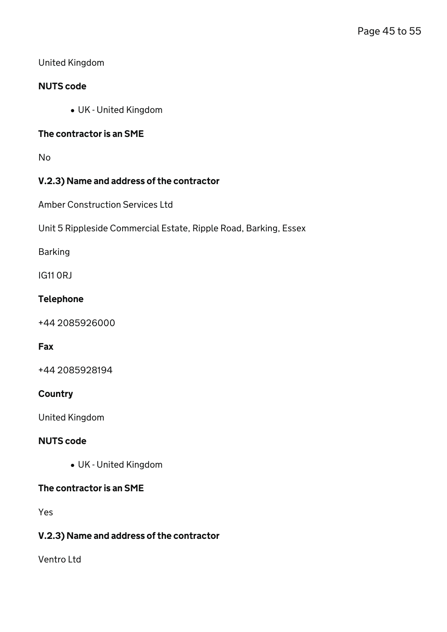### United Kingdom

### NUTS code

UK - United Kingdom

### The contractor is an SME

No

# V.2.3) Name and address of the contractor

Amber Construction Services Ltd

Unit 5 Rippleside Commercial Estate, Ripple Road, Barking, Essex

Barking

IG11 0RJ

#### Telephone

+44 2085926000

#### Fax

+44 2085928194

#### **Country**

United Kingdom

### NUTS code

UK - United Kingdom

#### The contractor is an SME

Yes

### V.2.3) Name and address of the contractor

Ventro Ltd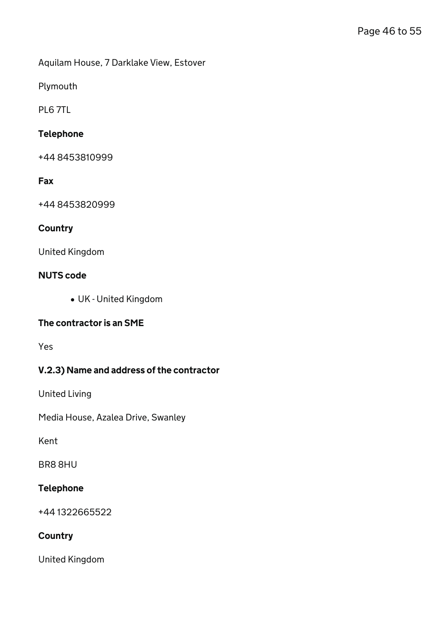Aquilam House, 7 Darklake View, Estover

Plymouth

PL6 7TL

### Telephone

+44 8453810999

### Fax

+44 8453820999

# **Country**

United Kingdom

#### NUTS code

UK - United Kingdom

#### The contractor is an SME

Yes

# V.2.3) Name and address of the contractor

United Living

Media House, Azalea Drive, Swanley

Kent

BR8 8HU

### Telephone

+44 1322665522

# **Country**

United Kingdom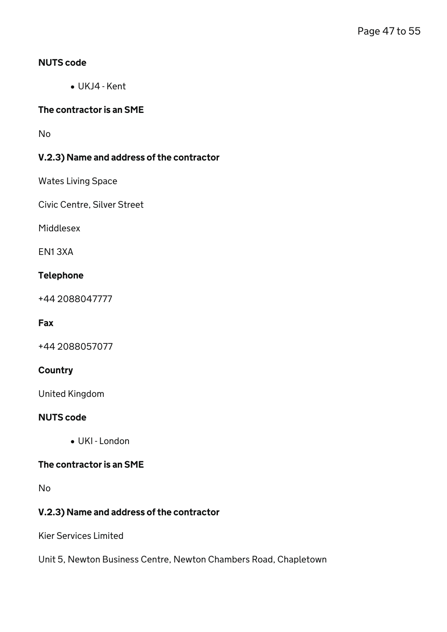### NUTS code

UKJ4 - Kent

### The contractor is an SME

No

# V.2.3) Name and address of the contractor

Wates Living Space

Civic Centre, Silver Street

Middlesex

EN1 3XA

#### Telephone

+44 2088047777

# Fax

+44 2088057077

### **Country**

United Kingdom

#### NUTS code

UKI - London

### The contractor is an SME

No

# V.2.3) Name and address of the contractor

Kier Services Limited

Unit 5, Newton Business Centre, Newton Chambers Road, Chapletown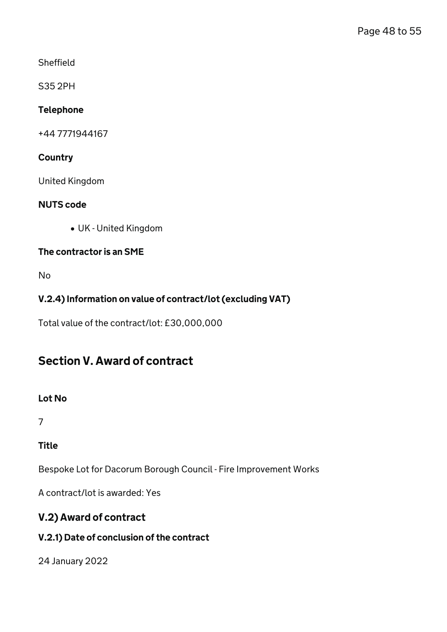**Sheffield** 

S35 2PH

# Telephone

+44 7771944167

# **Country**

United Kingdom

# NUTS code

UK - United Kingdom

# The contractor is an SME

No

# V.2.4) Information on value of contract/lot (excluding VAT)

Total value of the contract/lot: £30,000,000

# Section V. Award of contract

# Lot No

7

# **Title**

Bespoke Lot for Dacorum Borough Council - Fire Improvement Works

A contract/lot is awarded: Yes

# V.2) Award of contract

# V.2.1) Date of conclusion of the contract

24 January 2022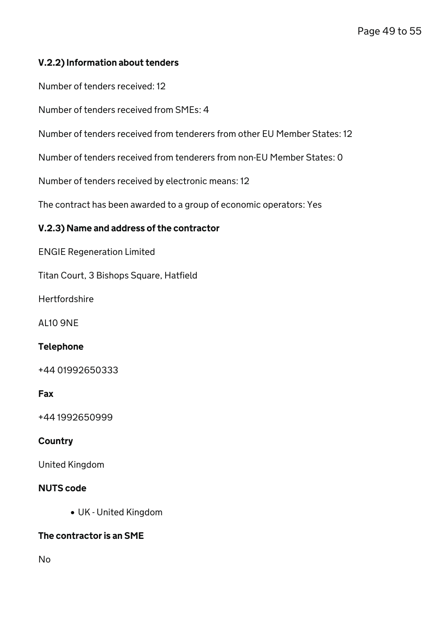# V.2.2) Information about tenders

Number of tenders received: 12

Number of tenders received from SMEs: 4

Number of tenders received from tenderers from other EU Member States: 12

Number of tenders received from tenderers from non-EU Member States: 0

Number of tenders received by electronic means: 12

The contract has been awarded to a group of economic operators: Yes

#### V.2.3) Name and address of the contractor

ENGIE Regeneration Limited

Titan Court, 3 Bishops Square, Hatfield

**Hertfordshire** 

AL10 9NE

#### Telephone

+44 01992650333

#### Fax

+44 1992650999

#### **Country**

United Kingdom

#### NUTS code

UK - United Kingdom

#### The contractor is an SME

No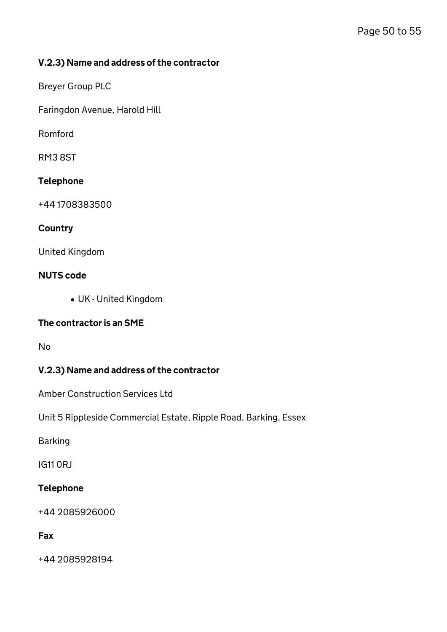### V.2.3) Name and address of the contractor

Breyer Group PLC

Faringdon Avenue, Harold Hill

Romford

RM3 8ST

### Telephone

+44 1708383500

#### **Country**

United Kingdom

#### NUTS code

UK - United Kingdom

#### The contractor is an SME

No

# V.2.3) Name and address of the contractor

Amber Construction Services Ltd

Unit 5 Rippleside Commercial Estate, Ripple Road, Barking, Essex

Barking

IG11 0RJ

#### Telephone

+44 2085926000

# Fax

+44 2085928194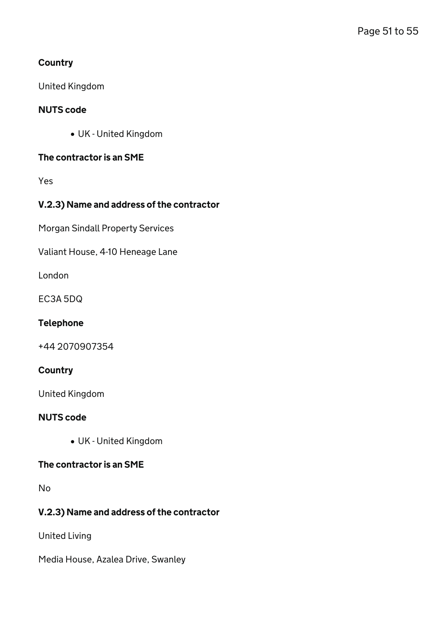# **Country**

United Kingdom

# NUTS code

UK - United Kingdom

# The contractor is an SME

Yes

# V.2.3) Name and address of the contractor

Morgan Sindall Property Services

Valiant House, 4-10 Heneage Lane

London

EC3A 5DQ

# Telephone

+44 2070907354

# **Country**

United Kingdom

# NUTS code

UK - United Kingdom

### The contractor is an SME

No

# V.2.3) Name and address of the contractor

United Living

Media House, Azalea Drive, Swanley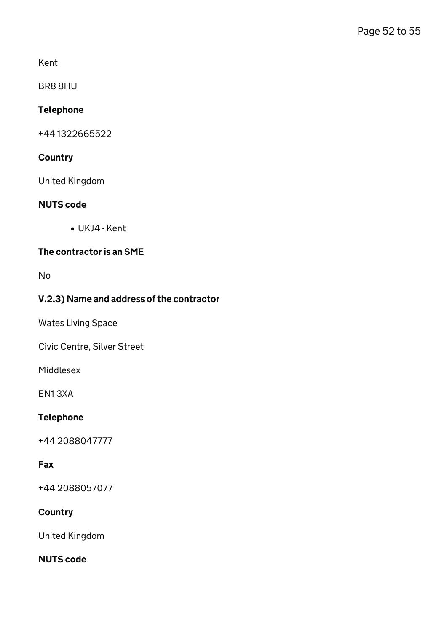Kent

BR8 8HU

# Telephone

+44 1322665522

# **Country**

United Kingdom

### NUTS code

UKJ4 - Kent

# The contractor is an SME

No

# V.2.3) Name and address of the contractor

Wates Living Space

Civic Centre, Silver Street

Middlesex

EN1 3XA

# Telephone

+44 2088047777

# Fax

+44 2088057077

# **Country**

United Kingdom

### NUTS code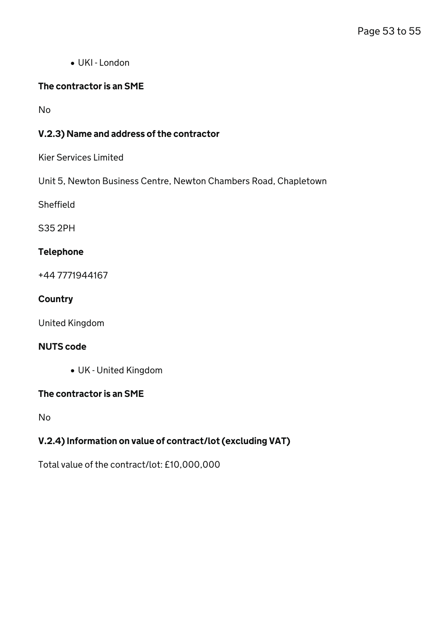UKI - London

# The contractor is an SME

No

# V.2.3) Name and address of the contractor

Kier Services Limited

Unit 5, Newton Business Centre, Newton Chambers Road, Chapletown

Sheffield

S35 2PH

# Telephone

+44 7771944167

### **Country**

United Kingdom

# NUTS code

UK - United Kingdom

# The contractor is an SME

No

# V.2.4) Information on value of contract/lot (excluding VAT)

Total value of the contract/lot: £10,000,000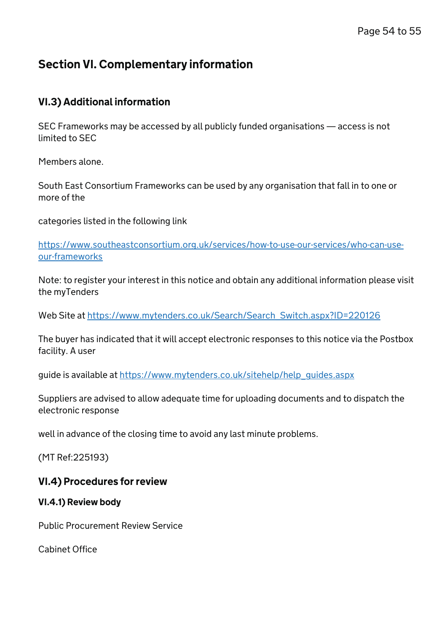# Section VI. Complementary information

# VI.3) Additional information

SEC Frameworks may be accessed by all publicly funded organisations — access is not limited to SEC

Members alone.

South East Consortium Frameworks can be used by any organisation that fall in to one or more of the

categories listed in the following link

[https://www.southeastconsortium.org.uk/services/how-to-use-our-services/who-can-use](https://www.southeastconsortium.org.uk/services/how-to-use-our-services/who-can-use-our-frameworks)[our-frameworks](https://www.southeastconsortium.org.uk/services/how-to-use-our-services/who-can-use-our-frameworks)

Note: to register your interest in this notice and obtain any additional information please visit the myTenders

Web Site at [https://www.mytenders.co.uk/Search/Search\\_Switch.aspx?ID=220126](https://www.mytenders.co.uk/Search/Search_Switch.aspx?ID=220126)

The buyer has indicated that it will accept electronic responses to this notice via the Postbox facility. A user

guide is available at https://www.mytenders.co.uk/sitehelp/help\_quides.aspx

Suppliers are advised to allow adequate time for uploading documents and to dispatch the electronic response

well in advance of the closing time to avoid any last minute problems.

(MT Ref:225193)

# VI.4) Procedures for review

# VI.4.1) Review body

Public Procurement Review Service

Cabinet Office